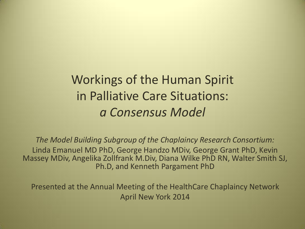#### Workings of the Human Spirit in Palliative Care Situations: *a Consensus Model*

*The Model Building Subgroup of the Chaplaincy Research Consortium:* Linda Emanuel MD PhD, George Handzo MDiv, George Grant PhD, Kevin Massey MDiv, Angelika Zollfrank M.Div, Diana Wilke PhD RN, Walter Smith SJ, Ph.D, and Kenneth Pargament PhD

Presented at the Annual Meeting of the HealthCare Chaplaincy Network April New York 2014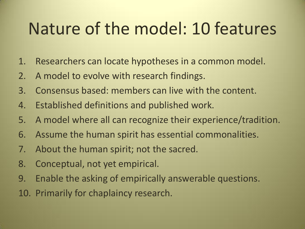## Nature of the model: 10 features

- 1. Researchers can locate hypotheses in a common model.
- 2. A model to evolve with research findings.
- 3. Consensus based: members can live with the content.
- 4. Established definitions and published work.
- 5. A model where all can recognize their experience/tradition.
- 6. Assume the human spirit has essential commonalities.
- 7. About the human spirit; not the sacred.
- 8. Conceptual, not yet empirical.
- 9. Enable the asking of empirically answerable questions.
- 10. Primarily for chaplaincy research.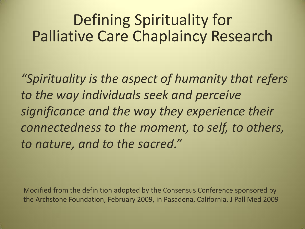#### Defining Spirituality for Palliative Care Chaplaincy Research

*"Spirituality is the aspect of humanity that refers to the way individuals seek and perceive significance and the way they experience their connectedness to the moment, to self, to others, to nature, and to the sacred."*

Modified from the definition adopted by the Consensus Conference sponsored by the Archstone Foundation, February 2009, in Pasadena, California. J Pall Med 2009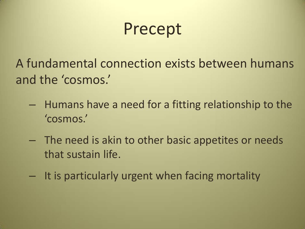## Precept

A fundamental connection exists between humans and the 'cosmos.'

- Humans have a need for a fitting relationship to the 'cosmos.'
- The need is akin to other basic appetites or needs that sustain life.
- It is particularly urgent when facing mortality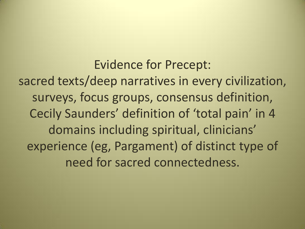Evidence for Precept: sacred texts/deep narratives in every civilization, surveys, focus groups, consensus definition, Cecily Saunders' definition of 'total pain' in 4 domains including spiritual, clinicians' experience (eg, Pargament) of distinct type of need for sacred connectedness.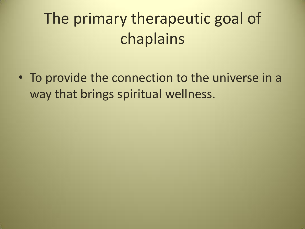## The primary therapeutic goal of chaplains

• To provide the connection to the universe in a way that brings spiritual wellness.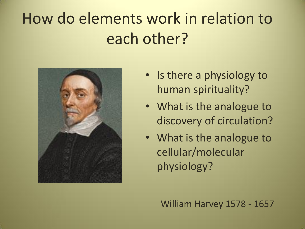## How do elements work in relation to each other?



- Is there a physiology to human spirituality?
- What is the analogue to discovery of circulation?
- What is the analogue to cellular/molecular physiology?

William Harvey 1578 - 1657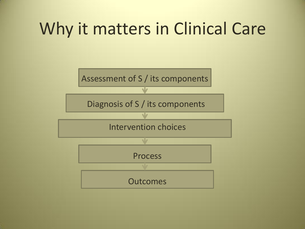## Why it matters in Clinical Care

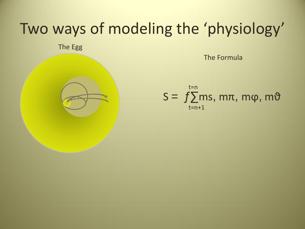#### Two ways of modeling the 'physiology'

The Egg

The Formula

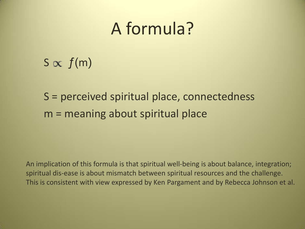## A formula?

#### $S \propto f(m)$

#### S = perceived spiritual place, connectedness m = meaning about spiritual place

An implication of this formula is that spiritual well-being is about balance, integration; spiritual dis-ease is about mismatch between spiritual resources and the challenge. This is consistent with view expressed by Ken Pargament and by Rebecca Johnson et al.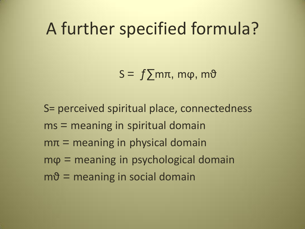## A further specified formula?

 $S = f \sum m\pi$ , m $\varphi$ , m $\vartheta$ 

S= perceived spiritual place, connectedness ms = meaning in spiritual domain  $m\pi$  = meaning in physical domain  $m\varphi$  = meaning in psychological domain  $m\vartheta$  = meaning in social domain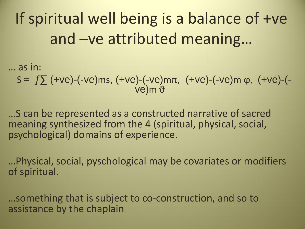If spiritual well being is a balance of +ve and –ve attributed meaning…

… as in:

S =  $f\Sigma$  (+ve)-(-ve)ms, (+ve)-(-ve)mπ, (+ve)-(-ve)m φ, (+ve)-(ve)m <del>ΰ</del>

…S can be represented as a constructed narrative of sacred meaning synthesized from the 4 (spiritual, physical, social, psychological) domains of experience.

…Physical, social, pyschological may be covariates or modifiers of spiritual.

…something that is subject to co-construction, and so to assistance by the chaplain

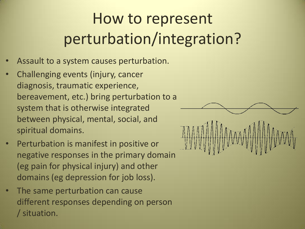## How to represent perturbation/integration?

- Assault to a system causes perturbation.
- Challenging events (injury, cancer diagnosis, traumatic experience, bereavement, etc.) bring perturbation to a system that is otherwise integrated between physical, mental, social, and spiritual domains.
- Perturbation is manifest in positive or negative responses in the primary domain (eg pain for physical injury) and other domains (eg depression for job loss).
- The same perturbation can cause different responses depending on person / situation.

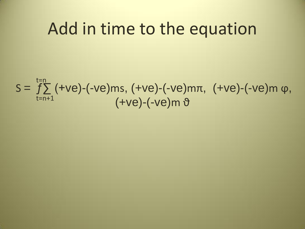## Add in time to the equation

$$
S = \sum_{t=n+1}^{t=n} (+ve) - (-ve)ms, (+ve) - (-ve)mn, (+ve) - (-ve)m \varphi,
$$
  

$$
(+ve) - (-ve)m \vartheta
$$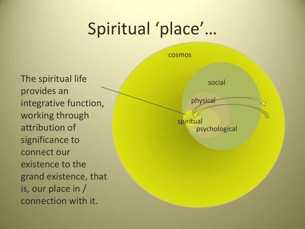# Spiritual 'place'…

The spiritual life provides an integrative function, working through attribution of significance to connect our existence to the grand existence, that is, our place in / connection with it.

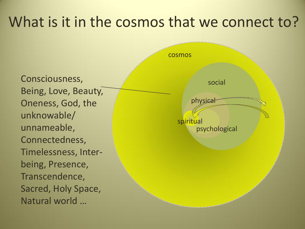#### What is it in the cosmos that we connect to?

Consciousness, Being, Love, Beauty, Oneness, God, the unknowable/ unnameable, Connectedness, Timelessness, Interbeing, Presence, Transcendence, Sacred, Holy Space, Natural world …

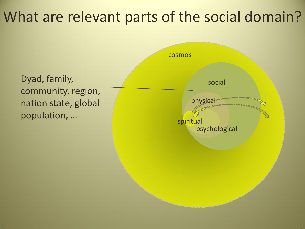#### What are relevant parts of the social domain?

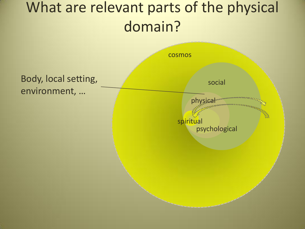### What are relevant parts of the physical domain?

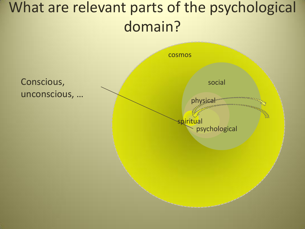## What are relevant parts of the psychological domain?

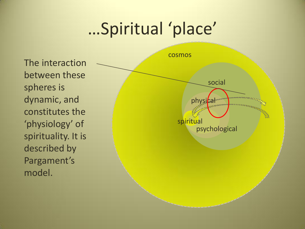## …Spiritual 'place'

cosmos social psychological spiritual physica The interaction between these spheres is dynamic, and constitutes the 'physiology' of spirituality. It is described by Pargament's model.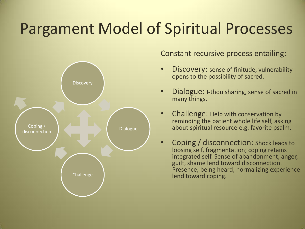#### Pargament Model of Spiritual Processes



Constant recursive process entailing:

- Discovery: sense of finitude, vulnerability opens to the possibility of sacred.
- Dialogue: I-thou sharing, sense of sacred in many things.
- Challenge: Help with conservation by reminding the patient whole life self, asking about spiritual resource e.g. favorite psalm.
- Coping / disconnection: Shock leads to loosing self, fragmentation; coping retains integrated self. Sense of abandonment, anger, guilt, shame lend toward disconnection. Presence, being heard, normalizing experience lend toward coping.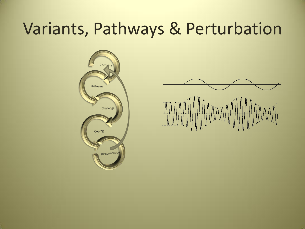## Variants, Pathways & Perturbation



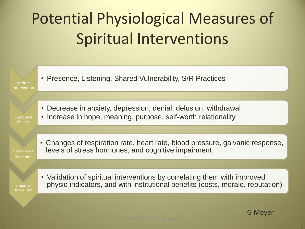# Potential Physiological Measures of Spiritual Interventions



G Meyer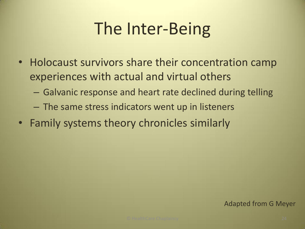# The Inter-Being

- Holocaust survivors share their concentration camp experiences with actual and virtual others
	- Galvanic response and heart rate declined during telling
	- The same stress indicators went up in listeners
- Family systems theory chronicles similarly

#### Adapted from G Meyer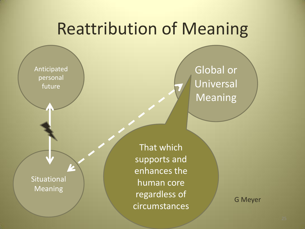## Reattribution of Meaning

Anticipated personal future

Situational Meaning

That which supports and enhances the human core regardless of circumstances

Global or Universal Meaning

G Meyer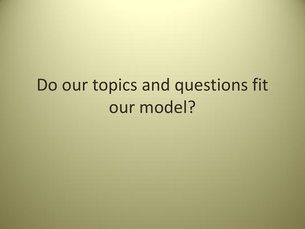# Do our topics and questions fit our model?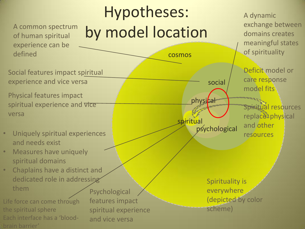#### of human spiritual experience can be defined

Hypotheses: A common spectrum by model location

cosmos

spiritual

physical

Social features impact spiritual experience and vice versa

Physical features impact spiritual experience and vice versa

- Uniquely spiritual experiences and needs exist
- Measures have uniquely spiritual domains
- Chaplains have a distinct and dedicated role in addressing them

Life force can come through the spiritual sphere Each interface has a 'bloodbrain barrier'

Psychological features impact spiritual experience and vice versa

Spirituality is everywhere (depicted by color scheme)

social

psychological

A dynamic exchange between domains creates meaningful states of spirituality

Deficit model or care response model fits

Spiritual resources replace physical and other resources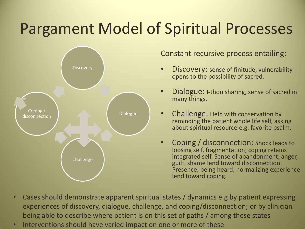#### Pargament Model of Spiritual Processes



Constant recursive process entailing:

- Discovery: sense of finitude, vulnerability opens to the possibility of sacred.
- **Dialogue:** I-thou sharing, sense of sacred in many things.
- Challenge: Help with conservation by reminding the patient whole life self, asking about spiritual resource e.g. favorite psalm.
- Coping / disconnection: Shock leads to loosing self, fragmentation; coping retains integrated self. Sense of abandonment, anger, guilt, shame lend toward disconnection. Presence, being heard, normalizing experience lend toward coping.
- Cases should demonstrate apparent spiritual states / dynamics e.g by patient expressing experiences of discovery, dialogue, challenge, and coping/disconnection; or by clinician being able to describe where patient is on this set of paths / among these states
- Interventions should have varied impact on one or more of these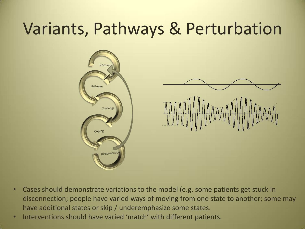## Variants, Pathways & Perturbation



- Cases should demonstrate variations to the model (e.g. some patients get stuck in disconnection; people have varied ways of moving from one state to another; some may have additional states or skip / underemphasize some states.
- Interventions should have varied 'match' with different patients.